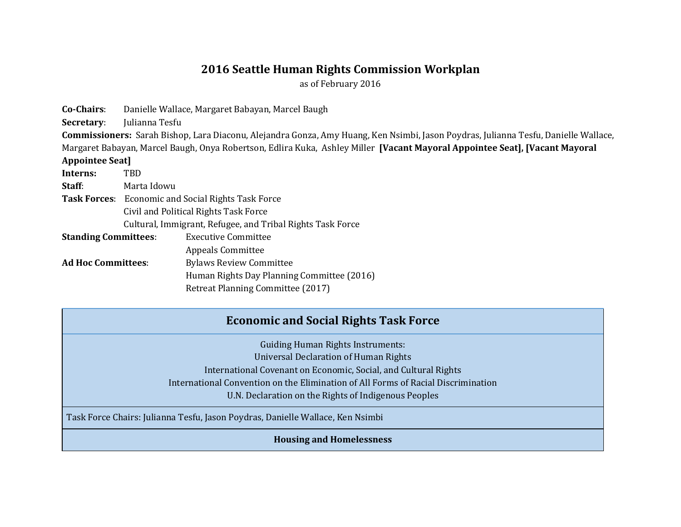## **2016 Seattle Human Rights Commission Workplan**

as of February 2016

**Co-Chairs**: Danielle Wallace, Margaret Babayan, Marcel Baugh **Secretary**: Julianna Tesfu **Commissioners:** Sarah Bishop, Lara Diaconu, Alejandra Gonza, Amy Huang, Ken Nsimbi, Jason Poydras, Julianna Tesfu, Danielle Wallace, Margaret Babayan, Marcel Baugh, Onya Robertson, Edlira Kuka, Ashley Miller **[Vacant Mayoral Appointee Seat], [Vacant Mayoral Appointee Seat] Interns:** TBD **Staff**: Marta Idowu **Task Forces**: Economic and Social Rights Task Force Civil and Political Rights Task Force Cultural, Immigrant, Refugee, and Tribal Rights Task Force **Standing Committees**: Executive Committee Appeals Committee Ad Hoc Committees: Bylaws Review Committee Human Rights Day Planning Committee (2016) Retreat Planning Committee (2017)

## **Economic and Social Rights Task Force**

Guiding Human Rights Instruments: Universal Declaration of Human Rights International Covenant on Economic, Social, and Cultural Rights International Convention on the Elimination of All Forms of Racial Discrimination U.N. Declaration on the Rights of Indigenous Peoples

Task Force Chairs: Julianna Tesfu, Jason Poydras, Danielle Wallace, Ken Nsimbi

**Housing and Homelessness**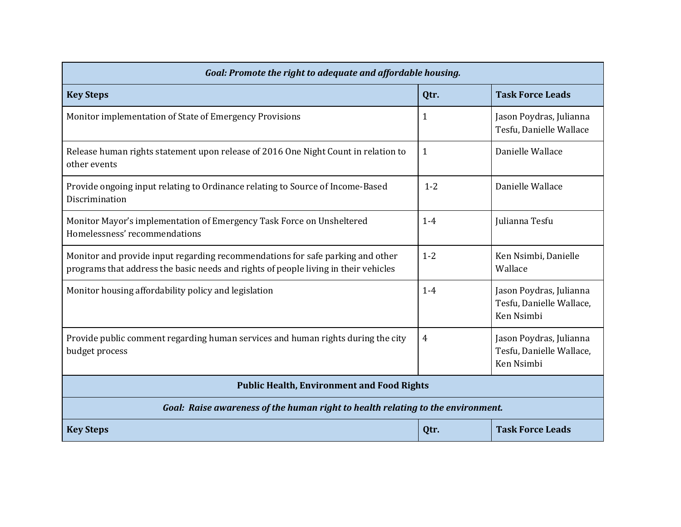| Goal: Promote the right to adequate and affordable housing.                                                                                                           |         |                                                                   |
|-----------------------------------------------------------------------------------------------------------------------------------------------------------------------|---------|-------------------------------------------------------------------|
| <b>Key Steps</b>                                                                                                                                                      | Qtr.    | <b>Task Force Leads</b>                                           |
| Monitor implementation of State of Emergency Provisions                                                                                                               | 1       | Jason Poydras, Julianna<br>Tesfu, Danielle Wallace                |
| Release human rights statement upon release of 2016 One Night Count in relation to<br>other events                                                                    | 1       | Danielle Wallace                                                  |
| Provide ongoing input relating to Ordinance relating to Source of Income-Based<br>Discrimination                                                                      | $1 - 2$ | Danielle Wallace                                                  |
| Monitor Mayor's implementation of Emergency Task Force on Unsheltered<br>Homelessness' recommendations                                                                | $1-4$   | Julianna Tesfu                                                    |
| Monitor and provide input regarding recommendations for safe parking and other<br>programs that address the basic needs and rights of people living in their vehicles | $1 - 2$ | Ken Nsimbi, Danielle<br>Wallace                                   |
| Monitor housing affordability policy and legislation                                                                                                                  | $1 - 4$ | Jason Poydras, Julianna<br>Tesfu, Danielle Wallace,<br>Ken Nsimbi |
| Provide public comment regarding human services and human rights during the city<br>budget process                                                                    | 4       | Jason Poydras, Julianna<br>Tesfu, Danielle Wallace,<br>Ken Nsimbi |
| <b>Public Health, Environment and Food Rights</b>                                                                                                                     |         |                                                                   |
| Goal: Raise awareness of the human right to health relating to the environment.                                                                                       |         |                                                                   |
| <b>Key Steps</b>                                                                                                                                                      | Qtr.    | <b>Task Force Leads</b>                                           |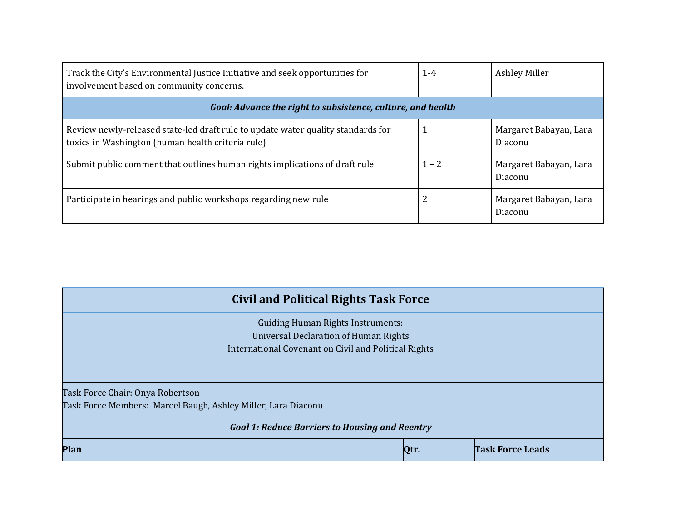| Track the City's Environmental Justice Initiative and seek opportunities for<br>involvement based on community concerns.              | $1 - 4$ | Ashley Miller                     |
|---------------------------------------------------------------------------------------------------------------------------------------|---------|-----------------------------------|
| Goal: Advance the right to subsistence, culture, and health                                                                           |         |                                   |
| Review newly-released state-led draft rule to update water quality standards for<br>toxics in Washington (human health criteria rule) |         | Margaret Babayan, Lara<br>Diaconu |
| Submit public comment that outlines human rights implications of draft rule                                                           | $1 - 2$ | Margaret Babayan, Lara<br>Diaconu |
| Participate in hearings and public workshops regarding new rule                                                                       | 2       | Margaret Babayan, Lara<br>Diaconu |

| <b>Civil and Political Rights Task Force</b>                                                                                                     |      |                         |
|--------------------------------------------------------------------------------------------------------------------------------------------------|------|-------------------------|
| <b>Guiding Human Rights Instruments:</b><br><b>Universal Declaration of Human Rights</b><br>International Covenant on Civil and Political Rights |      |                         |
|                                                                                                                                                  |      |                         |
| Task Force Chair: Onya Robertson<br>Task Force Members: Marcel Baugh, Ashley Miller, Lara Diaconu                                                |      |                         |
| <b>Goal 1: Reduce Barriers to Housing and Reentry</b>                                                                                            |      |                         |
| Plan                                                                                                                                             | Qtr. | <b>Task Force Leads</b> |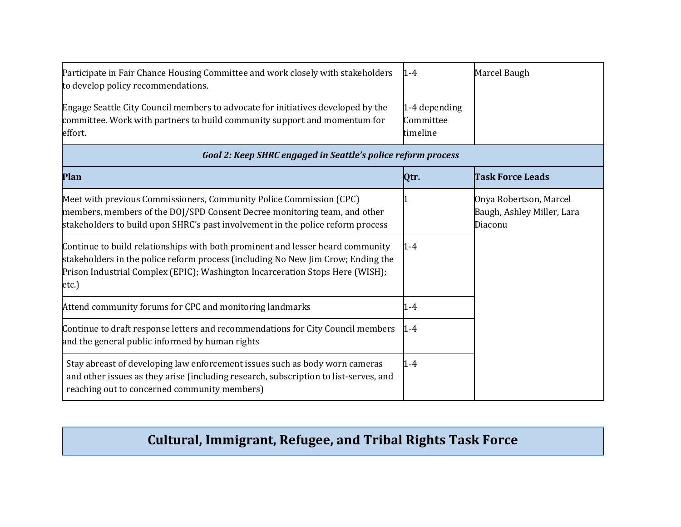| Participate in Fair Chance Housing Committee and work closely with stakeholders<br>to develop policy recommendations.                                                                                                                                        | 1-4                                    | Marcel Baugh                                                    |
|--------------------------------------------------------------------------------------------------------------------------------------------------------------------------------------------------------------------------------------------------------------|----------------------------------------|-----------------------------------------------------------------|
| Engage Seattle City Council members to advocate for initiatives developed by the<br>committee. Work with partners to build community support and momentum for<br>effort.                                                                                     | 1-4 depending<br>Committee<br>timeline |                                                                 |
| Goal 2: Keep SHRC engaged in Seattle's police reform process                                                                                                                                                                                                 |                                        |                                                                 |
| Plan                                                                                                                                                                                                                                                         | Qtr.                                   | <b>Task Force Leads</b>                                         |
| Meet with previous Commissioners, Community Police Commission (CPC)<br>members, members of the DOJ/SPD Consent Decree monitoring team, and other<br>stakeholders to build upon SHRC's past involvement in the police reform process                          |                                        | Onya Robertson, Marcel<br>Baugh, Ashley Miller, Lara<br>Diaconu |
| Continue to build relationships with both prominent and lesser heard community<br>stakeholders in the police reform process (including No New Jim Crow; Ending the<br>Prison Industrial Complex (EPIC); Washington Incarceration Stops Here (WISH);<br>etc.) | $1 - 4$                                |                                                                 |
| Attend community forums for CPC and monitoring landmarks                                                                                                                                                                                                     | 1-4                                    |                                                                 |
| Continue to draft response letters and recommendations for City Council members<br>and the general public informed by human rights                                                                                                                           | $1 - 4$                                |                                                                 |
| Stay abreast of developing law enforcement issues such as body worn cameras                                                                                                                                                                                  | 1-4                                    |                                                                 |

# **Cultural, Immigrant, Refugee, and Tribal Rights Task Force**

and other issues as they arise (including research, subscription to list-serves, and

reaching out to concerned community members)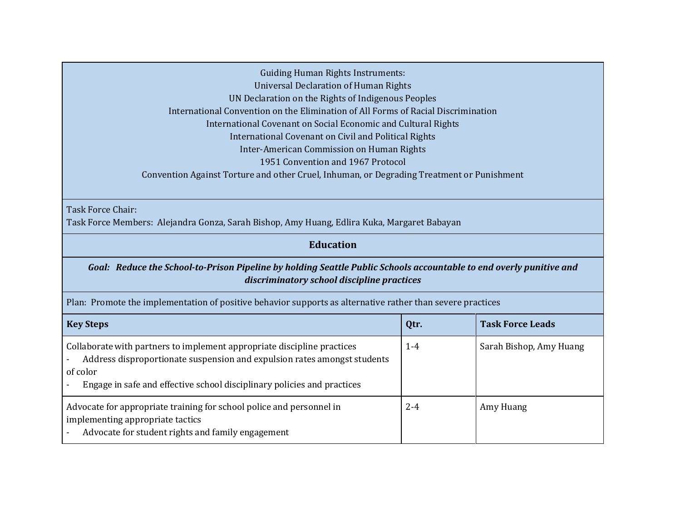Guiding Human Rights Instruments: Universal Declaration of Human Rights UN Declaration on the Rights of Indigenous Peoples International Convention on the Elimination of All Forms of Racial Discrimination International Covenant on Social Economic and Cultural Rights International Covenant on Civil and Political Rights Inter-American Commission on Human Rights 1951 Convention and 1967 Protocol Convention Against Torture and other Cruel, Inhuman, or Degrading Treatment or Punishment

Task Force Chair:

Task Force Members: Alejandra Gonza, Sarah Bishop, Amy Huang, Edlira Kuka, Margaret Babayan

### **Education**

#### *Goal: Reduce the School-to-Prison Pipeline by holding Seattle Public Schools accountable to end overly punitive and discriminatory school discipline practices*

Plan: Promote the implementation of positive behavior supports as alternative rather than severe practices

| <b>Key Steps</b>                                                                                                                                                                                                                           | Qtr.    | <b>Task Force Leads</b> |
|--------------------------------------------------------------------------------------------------------------------------------------------------------------------------------------------------------------------------------------------|---------|-------------------------|
| Collaborate with partners to implement appropriate discipline practices<br>Address disproportionate suspension and expulsion rates amongst students<br>of color<br>Engage in safe and effective school disciplinary policies and practices | $1 - 4$ | Sarah Bishop, Amy Huang |
| Advocate for appropriate training for school police and personnel in<br>implementing appropriate tactics<br>Advocate for student rights and family engagement                                                                              | $2 - 4$ | Amy Huang               |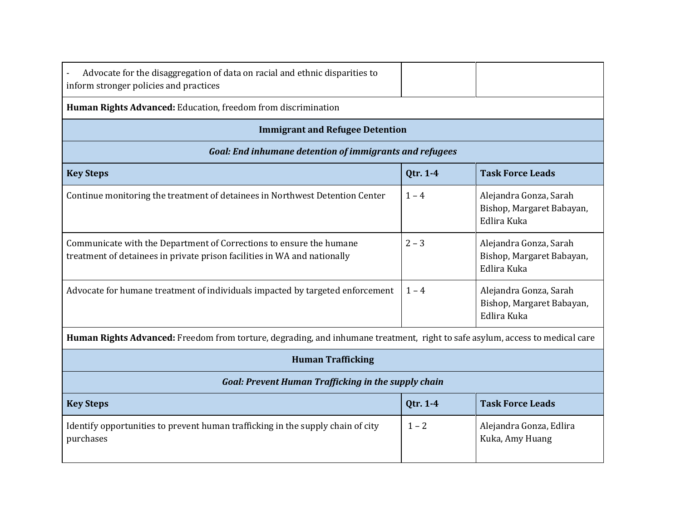| Advocate for the disaggregation of data on racial and ethnic disparities to<br>inform stronger policies and practices                           |          |                                                                    |
|-------------------------------------------------------------------------------------------------------------------------------------------------|----------|--------------------------------------------------------------------|
| Human Rights Advanced: Education, freedom from discrimination                                                                                   |          |                                                                    |
| <b>Immigrant and Refugee Detention</b>                                                                                                          |          |                                                                    |
| <b>Goal: End inhumane detention of immigrants and refugees</b>                                                                                  |          |                                                                    |
| <b>Key Steps</b>                                                                                                                                | Qtr. 1-4 | <b>Task Force Leads</b>                                            |
| Continue monitoring the treatment of detainees in Northwest Detention Center                                                                    | $1 - 4$  | Alejandra Gonza, Sarah<br>Bishop, Margaret Babayan,<br>Edlira Kuka |
| Communicate with the Department of Corrections to ensure the humane<br>treatment of detainees in private prison facilities in WA and nationally | $2 - 3$  | Alejandra Gonza, Sarah<br>Bishop, Margaret Babayan,<br>Edlira Kuka |
| Advocate for humane treatment of individuals impacted by targeted enforcement                                                                   | $1 - 4$  | Alejandra Gonza, Sarah<br>Bishop, Margaret Babayan,<br>Edlira Kuka |
| Human Rights Advanced: Freedom from torture, degrading, and inhumane treatment, right to safe asylum, access to medical care                    |          |                                                                    |
| <b>Human Trafficking</b>                                                                                                                        |          |                                                                    |
| <b>Goal: Prevent Human Trafficking in the supply chain</b>                                                                                      |          |                                                                    |
| <b>Key Steps</b>                                                                                                                                | Qtr. 1-4 | <b>Task Force Leads</b>                                            |
| Identify opportunities to prevent human trafficking in the supply chain of city<br>purchases                                                    | $1 - 2$  | Alejandra Gonza, Edlira<br>Kuka, Amy Huang                         |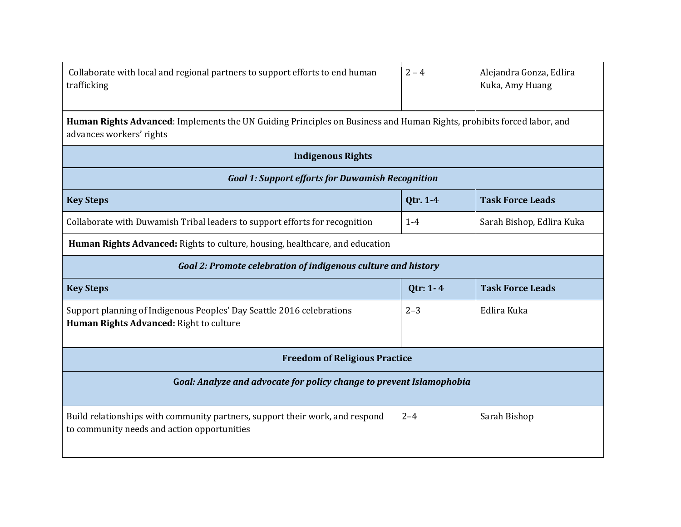| Collaborate with local and regional partners to support efforts to end human | $2 - 4$ | Alejandra Gonza, Edlira |
|------------------------------------------------------------------------------|---------|-------------------------|
| trafficking                                                                  |         | Kuka, Amy Huang         |

**Human Rights Advanced**: Implements the UN Guiding Principles on Business and Human Rights, prohibits forced labor, and advances workers' rights

| <b>Indigenous Rights</b>                                                                                                    |          |                           |
|-----------------------------------------------------------------------------------------------------------------------------|----------|---------------------------|
| <b>Goal 1: Support efforts for Duwamish Recognition</b>                                                                     |          |                           |
| <b>Key Steps</b>                                                                                                            | Qtr. 1-4 | <b>Task Force Leads</b>   |
| Collaborate with Duwamish Tribal leaders to support efforts for recognition                                                 | $1 - 4$  | Sarah Bishop, Edlira Kuka |
| Human Rights Advanced: Rights to culture, housing, healthcare, and education                                                |          |                           |
| Goal 2: Promote celebration of indigenous culture and history                                                               |          |                           |
| <b>Key Steps</b>                                                                                                            | Qtr: 1-4 | <b>Task Force Leads</b>   |
| Support planning of Indigenous Peoples' Day Seattle 2016 celebrations<br>Human Rights Advanced: Right to culture            | $2 - 3$  | Edlira Kuka               |
| <b>Freedom of Religious Practice</b>                                                                                        |          |                           |
| Goal: Analyze and advocate for policy change to prevent Islamophobia                                                        |          |                           |
| Build relationships with community partners, support their work, and respond<br>to community needs and action opportunities | $2 - 4$  | Sarah Bishop              |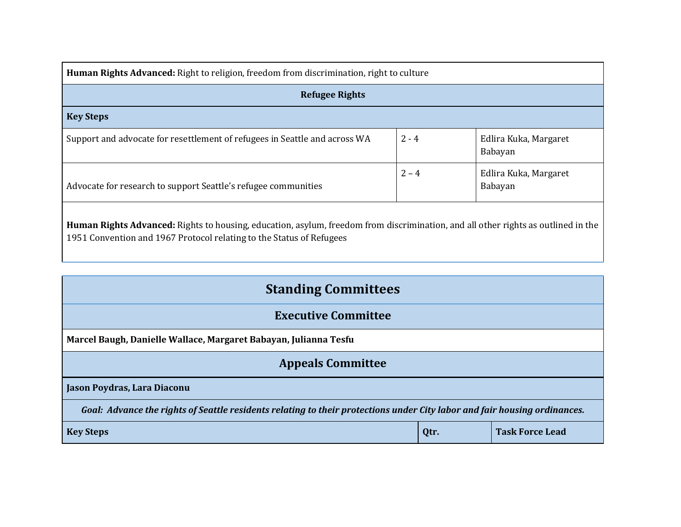| <b>Human Rights Advanced:</b> Right to religion, freedom from discrimination, right to culture |         |                                  |
|------------------------------------------------------------------------------------------------|---------|----------------------------------|
| <b>Refugee Rights</b>                                                                          |         |                                  |
| <b>Key Steps</b>                                                                               |         |                                  |
| Support and advocate for resettlement of refugees in Seattle and across WA                     | $2 - 4$ | Edlira Kuka, Margaret<br>Babayan |
| Advocate for research to support Seattle's refugee communities                                 | $2 - 4$ | Edlira Kuka, Margaret<br>Babayan |
|                                                                                                |         |                                  |

**Human Rights Advanced:** Rights to housing, education, asylum, freedom from discrimination, and all other rights as outlined in the 1951 Convention and 1967 Protocol relating to the Status of Refugees

| <b>Standing Committees</b>                                                                                                |      |                        |
|---------------------------------------------------------------------------------------------------------------------------|------|------------------------|
| <b>Executive Committee</b>                                                                                                |      |                        |
| Marcel Baugh, Danielle Wallace, Margaret Babayan, Julianna Tesfu                                                          |      |                        |
| <b>Appeals Committee</b>                                                                                                  |      |                        |
| Jason Poydras, Lara Diaconu                                                                                               |      |                        |
| Goal: Advance the rights of Seattle residents relating to their protections under City labor and fair housing ordinances. |      |                        |
| <b>Key Steps</b>                                                                                                          | Qtr. | <b>Task Force Lead</b> |
|                                                                                                                           |      |                        |